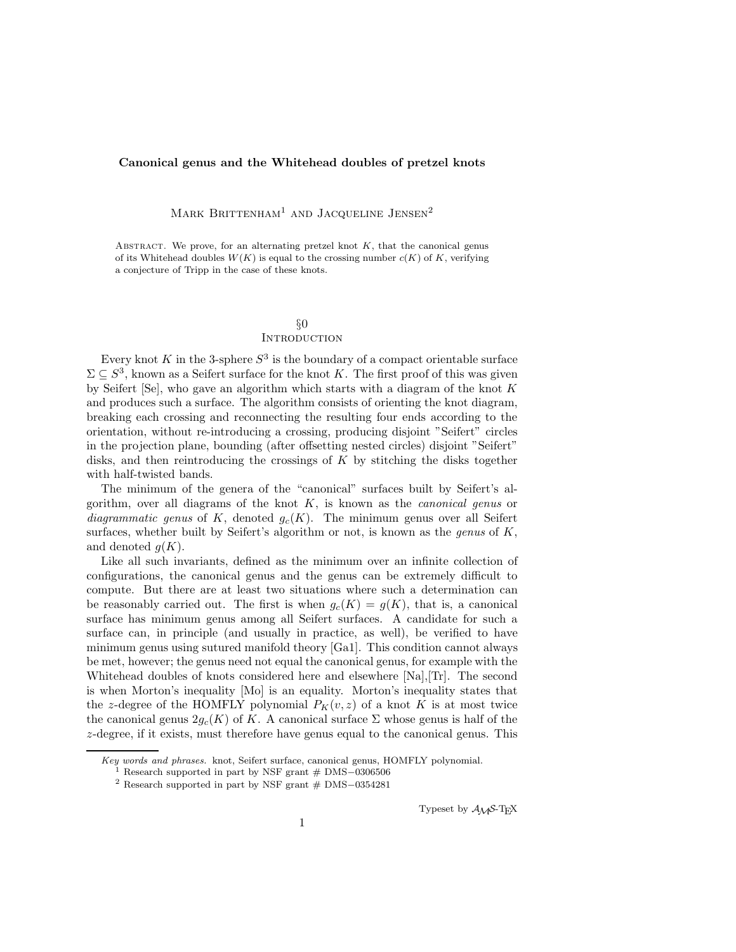#### **Canonical genus and the Whitehead doubles of pretzel knots**

MARK BRITTENHAM<sup>1</sup> AND JACQUELINE JENSEN<sup>2</sup>

ABSTRACT. We prove, for an alternating pretzel knot  $K$ , that the canonical genus of its Whitehead doubles  $W(K)$  is equal to the crossing number  $c(K)$  of K, verifying a conjecture of Tripp in the case of these knots.

# §0

# **INTRODUCTION**

Every knot K in the 3-sphere  $S^3$  is the boundary of a compact orientable surface  $\Sigma \subset S^3$ , known as a Seifert surface for the knot K. The first proof of this was given by Seifert  $[Se]$ , who gave an algorithm which starts with a diagram of the knot  $K$ and produces such a surface. The algorithm consists of orienting the knot diagram, breaking each crossing and reconnecting the resulting four ends according to the orientation, without re-introducing a crossing, producing disjoint "Seifert" circles in the projection plane, bounding (after offsetting nested circles) disjoint "Seifert" disks, and then reintroducing the crossings of  $K$  by stitching the disks together with half-twisted bands.

The minimum of the genera of the "canonical" surfaces built by Seifert's algorithm, over all diagrams of the knot K, is known as the *canonical genus* or *diagrammatic genus* of K, denoted  $g_c(K)$ . The minimum genus over all Seifert surfaces, whether built by Seifert's algorithm or not, is known as the *genus* of K, and denoted  $g(K)$ .

Like all such invariants, defined as the minimum over an infinite collection of configurations, the canonical genus and the genus can be extremely difficult to compute. But there are at least two situations where such a determination can be reasonably carried out. The first is when  $g_c(K) = g(K)$ , that is, a canonical surface has minimum genus among all Seifert surfaces. A candidate for such a surface can, in principle (and usually in practice, as well), be verified to have minimum genus using sutured manifold theory [Ga1]. This condition cannot always be met, however; the genus need not equal the canonical genus, for example with the Whitehead doubles of knots considered here and elsewhere [Na],[Tr]. The second is when Morton's inequality [Mo] is an equality. Morton's inequality states that the z-degree of the HOMFLY polynomial  $P_K(v, z)$  of a knot K is at most twice the canonical genus  $2g_c(K)$  of K. A canonical surface  $\Sigma$  whose genus is half of the z-degree, if it exists, must therefore have genus equal to the canonical genus. This

Typeset by *AMS*-TEX

*Key words and phrases.* knot, Seifert surface, canonical genus, HOMFLY polynomial. <sup>1</sup> Research supported in part by NSF grant # DMS-0306506

<sup>1</sup> Research supported in part by NSF grant # DMS*−*<sup>0306506</sup> <sup>2</sup> Research supported in part by NSF grant # DMS*−*<sup>0354281</sup>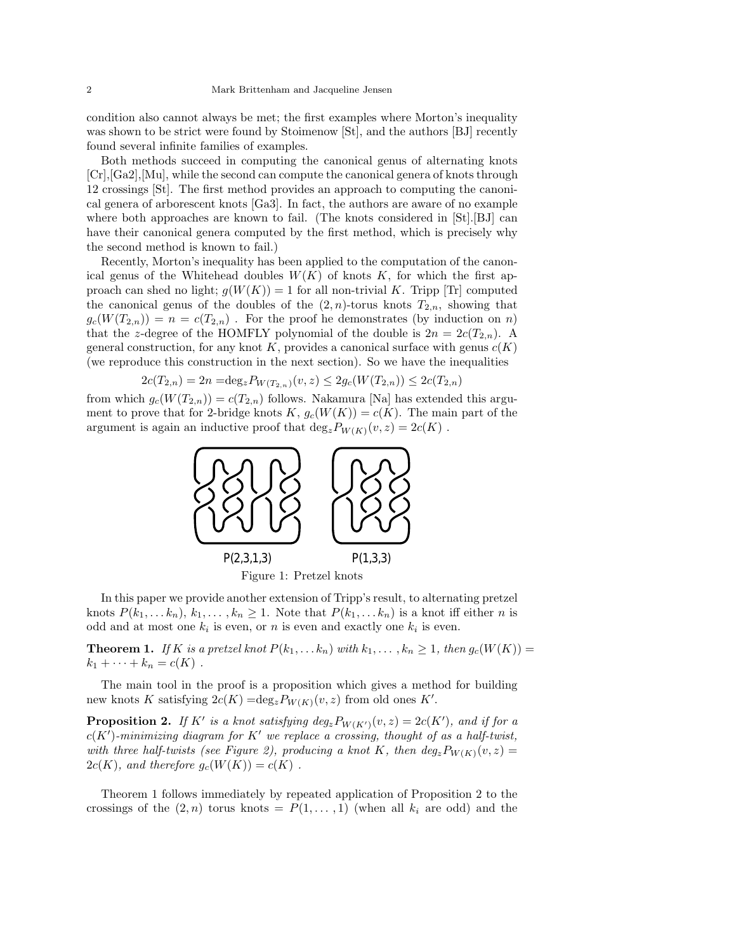condition also cannot always be met; the first examples where Morton's inequality was shown to be strict were found by Stoimenow [St], and the authors [BJ] recently found several infinite families of examples.

Both methods succeed in computing the canonical genus of alternating knots [Cr],[Ga2],[Mu], while the second can compute the canonical genera of knots through 12 crossings [St]. The first method provides an approach to computing the canonical genera of arborescent knots [Ga3]. In fact, the authors are aware of no example where both approaches are known to fail. (The knots considered in [St].[BJ] can have their canonical genera computed by the first method, which is precisely why the second method is known to fail.)

Recently, Morton's inequality has been applied to the computation of the canonical genus of the Whitehead doubles  $W(K)$  of knots K, for which the first approach can shed no light;  $g(W(K)) = 1$  for all non-trivial K. Tripp [Tr] computed the canonical genus of the doubles of the  $(2, n)$ -torus knots  $T_{2,n}$ , showing that  $g_c(W(T_{2,n})) = n = c(T_{2,n})$ . For the proof he demonstrates (by induction on n) that the z-degree of the HOMFLY polynomial of the double is  $2n = 2c(T_{2,n})$ . A general construction, for any knot K, provides a canonical surface with genus  $c(K)$ (we reproduce this construction in the next section). So we have the inequalities

$$
2c(T_{2,n}) = 2n = \deg_z P_{W(T_{2,n})}(v, z) \le 2g_c(W(T_{2,n})) \le 2c(T_{2,n})
$$

from which  $g_c(W(T_{2,n})) = c(T_{2,n})$  follows. Nakamura [Na] has extended this argu-<br>ment to prove that for 2-bridge knots  $K_{-a}(W(K)) = c(K)$ . The main part of the ment to prove that for 2-bridge knots  $K, g_c(W(K)) = c(K)$ . The main part of the argument is again an inductive proof that  $\deg_z P_{W(K)}(v, z)=2c(K)$ .



In this paper we provide another extension of Tripp's result, to alternating pretzel knots  $P(k_1,... k_n)$ ,  $k_1,..., k_n \geq 1$ . Note that  $P(k_1,... k_n)$  is a knot iff either *n* is odd and at most one  $k_i$  is even, or n is even and exactly one  $k_i$  is even.

**Theorem 1.** *If* K *is a pretzel knot*  $P(k_1,...,k_n)$  *with*  $k_1,...,k_n \geq 1$ *, then*  $g_c(W(K))$  $k_1 + \cdots + k_n = c(K)$ .

The main tool in the proof is a proposition which gives a method for building new knots K satisfying  $2c(K) = \deg_z P_{W(K)}(v, z)$  from old ones K'.

**Proposition 2.** If K' is a knot satisfying  $deg_z P_{W(K')}(v, z) = 2c(K')$ , and if for a<br> $c(K')$ -minimizing diagram for K' we replace a crossing thought of as a half-twist  $c(K')$ -minimizing diagram for K' we replace a crossing, thought of as a half-twist,<br>with three half-twists (see Figure 9), producing a knot K, then deg Byzzy (y, z) – *with three half-twists (see Figure 2), producing a knot* K, then  $deg_zP_{W(K)}(v, z)$  $2c(K)$ *, and therefore*  $g_c(W(K)) = c(K)$ .

Theorem 1 follows immediately by repeated application of Proposition 2 to the crossings of the  $(2, n)$  torus knots =  $P(1, \ldots, 1)$  (when all  $k_i$  are odd) and the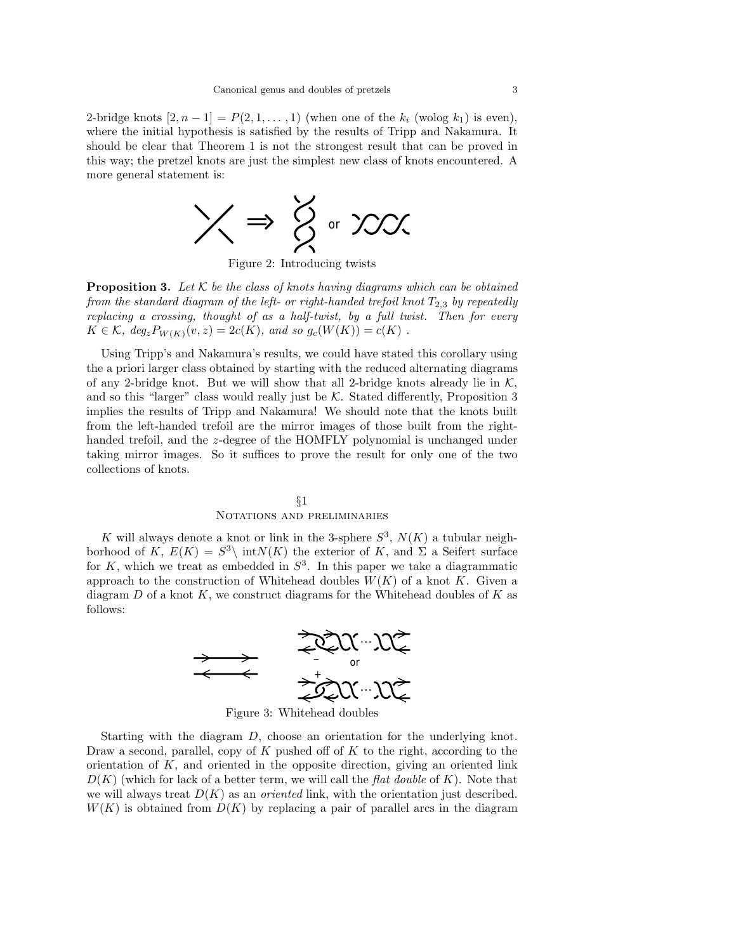2-bridge knots  $[2, n-1] = P(2, 1, \ldots, 1)$  (when one of the  $k_i$  (wolog  $k_1$ ) is even), where the initial hypothesis is satisfied by the results of Tripp and Nakamura. It should be clear that Theorem 1 is not the strongest result that can be proved in this way; the pretzel knots are just the simplest new class of knots encountered. A more general statement is:



Figure 2: Introducing twists

**Proposition 3.** *Let* K *be the class of knots having diagrams which can be obtained from the standard diagram of the left- or right-handed trefoil knot*  $T_{2,3}$  *by repeatedly replacing a crossing, thought of as a half-twist, by a full twist. Then for every*  $K \in \mathcal{K}$ *, deg<sub>z</sub>*  $P_{W(K)}(v, z) = 2c(K)$ *, and so g<sub>c</sub>*( $W(K)$ ) =  $c(K)$ .

Using Tripp's and Nakamura's results, we could have stated this corollary using the a priori larger class obtained by starting with the reduced alternating diagrams of any 2-bridge knot. But we will show that all 2-bridge knots already lie in  $K$ , and so this "larger" class would really just be  $K$ . Stated differently, Proposition 3 implies the results of Tripp and Nakamura! We should note that the knots built from the left-handed trefoil are the mirror images of those built from the righthanded trefoil, and the z-degree of the HOMFLY polynomial is unchanged under taking mirror images. So it suffices to prove the result for only one of the two collections of knots.

# §1 Notations and preliminaries

K will always denote a knot or link in the 3-sphere  $S^3$ ,  $N(K)$  a tubular neighborhood of K,  $E(K) = S^3 \backslash \int K(K)$  the exterior of K, and  $\Sigma$  a Seifert surface for  $K$ , which we treat as embedded in  $S<sup>3</sup>$ . In this paper we take a diagrammatic approach to the construction of Whitehead doubles  $W(K)$  of a knot K. Given a diagram  $D$  of a knot  $K$ , we construct diagrams for the Whitehead doubles of  $K$  as follows:



Figure 3: Whitehead doubles

Starting with the diagram D, choose an orientation for the underlying knot. Draw a second, parallel, copy of  $K$  pushed off of  $K$  to the right, according to the orientation of  $K$ , and oriented in the opposite direction, giving an oriented link  $D(K)$  (which for lack of a better term, we will call the *flat double* of K). Note that we will always treat  $D(K)$  as an *oriented* link, with the orientation just described.  $W(K)$  is obtained from  $D(K)$  by replacing a pair of parallel arcs in the diagram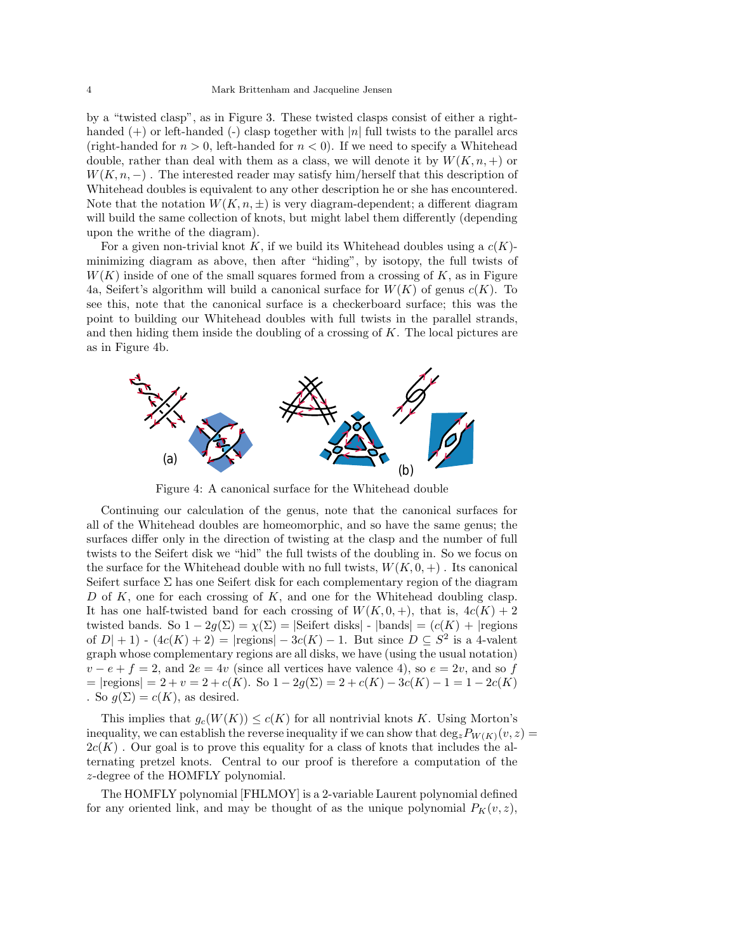by a "twisted clasp", as in Figure 3. These twisted clasps consist of either a righthanded  $(+)$  or left-handed  $(-)$  clasp together with  $|n|$  full twists to the parallel arcs (right-handed for  $n > 0$ , left-handed for  $n < 0$ ). If we need to specify a Whitehead double, rather than deal with them as a class, we will denote it by  $W(K, n, +)$  or  $W(K, n, -)$ . The interested reader may satisfy him/herself that this description of Whitehead doubles is equivalent to any other description he or she has encountered. Note that the notation  $W(K, n, \pm)$  is very diagram-dependent; a different diagram will build the same collection of knots, but might label them differently (depending upon the writhe of the diagram).

For a given non-trivial knot K, if we build its Whitehead doubles using a  $c(K)$ minimizing diagram as above, then after "hiding", by isotopy, the full twists of  $W(K)$  inside of one of the small squares formed from a crossing of K, as in Figure 4a, Seifert's algorithm will build a canonical surface for  $W(K)$  of genus  $c(K)$ . To see this, note that the canonical surface is a checkerboard surface; this was the point to building our Whitehead doubles with full twists in the parallel strands, and then hiding them inside the doubling of a crossing of  $K$ . The local pictures are as in Figure 4b.



Figure 4: A canonical surface for the Whitehead double

Continuing our calculation of the genus, note that the canonical surfaces for all of the Whitehead doubles are homeomorphic, and so have the same genus; the surfaces differ only in the direction of twisting at the clasp and the number of full twists to the Seifert disk we "hid" the full twists of the doubling in. So we focus on the surface for the Whitehead double with no full twists,  $W(K, 0, +)$ . Its canonical Seifert surface  $\Sigma$  has one Seifert disk for each complementary region of the diagram D of K, one for each crossing of K, and one for the Whitehead doubling clasp. It has one half-twisted band for each crossing of  $W(K, 0, +)$ , that is,  $4c(K) + 2$ twisted bands. So  $1 - 2g(\Sigma) = \chi(\Sigma) = |\text{Seifert disks}|$  -  $|\text{bands}| = (c(K) + |\text{regions}|)$ of  $D| + 1$ ) -  $(4c(K) + 2) = |\text{regions}| - 3c(K) - 1$ . But since  $D \subseteq S^2$  is a 4-valent graph whose complementary regions are all disks, we have (using the usual notation)  $v - e + f = 2$ , and  $2e = 4v$  (since all vertices have valence 4), so  $e = 2v$ , and so f  $=$  |regions| = 2 + v = 2 + c(K). So 1 – 2g( $\Sigma$ ) = 2 + c(K) – 3c(K) – 1 = 1 – 2c(K) . So  $g(\Sigma) = c(K)$ , as desired.

This implies that  $g_c(W(K)) \leq c(K)$  for all nontrivial knots K. Using Morton's inequality, we can establish the reverse inequality if we can show that  $\deg_zP_{W(K)}(v, z) =$  $2c(K)$ . Our goal is to prove this equality for a class of knots that includes the alternating pretzel knots. Central to our proof is therefore a computation of the z-degree of the HOMFLY polynomial.

The HOMFLY polynomial [FHLMOY] is a 2-variable Laurent polynomial defined for any oriented link, and may be thought of as the unique polynomial  $P_K(v, z)$ ,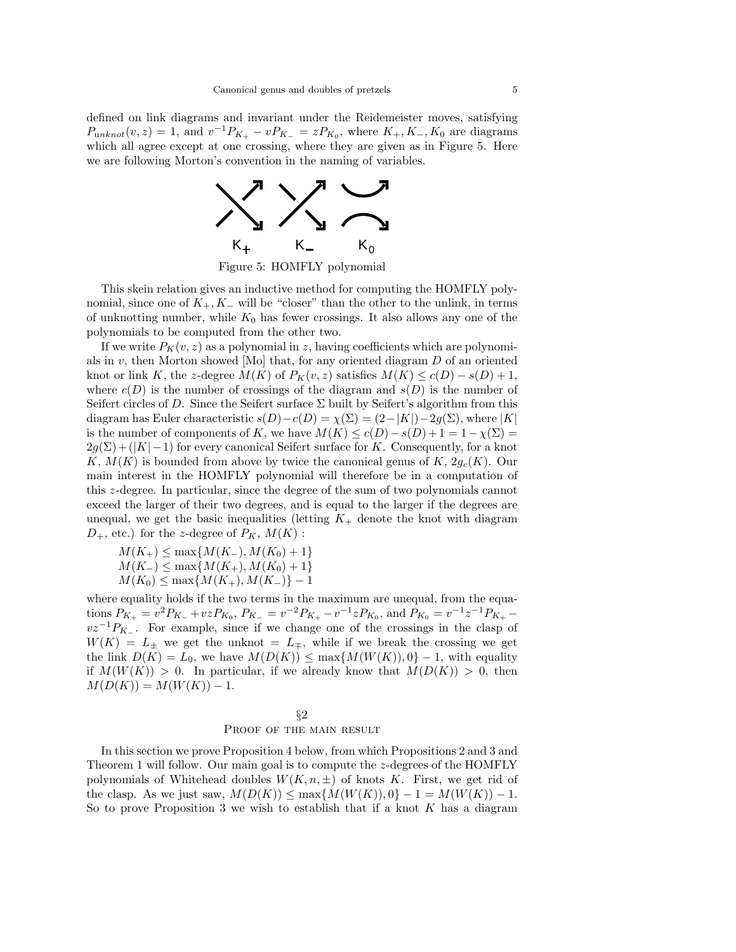defined on link diagrams and invariant under the Reidemeister moves, satisfying  $P_{unknot}(v, z) = 1$ , and  $v^{-1}P_{K_{+}} - vP_{K_{-}} = zP_{K_{0}}$ , where  $K_{+}, K_{-}, K_{0}$  are diagrams which all agree except at one crossing, where they are given as in Figure 5. Here we are following Morton's convention in the naming of variables.



Figure 5: HOMFLY polynomial

This skein relation gives an inductive method for computing the HOMFLY polynomial, since one of  $K_+, K_-$  will be "closer" than the other to the unlink, in terms of unknotting number, while  $K_0$  has fewer crossings. It also allows any one of the polynomials to be computed from the other two.

If we write  $P_K(v, z)$  as a polynomial in z, having coefficients which are polynomials in v, then Morton showed [Mo] that, for any oriented diagram  $D$  of an oriented knot or link K, the z-degree  $M(K)$  of  $P_K(v, z)$  satisfies  $M(K) \leq c(D) - s(D) + 1$ , where  $c(D)$  is the number of crossings of the diagram and  $s(D)$  is the number of Seifert circles of D. Since the Seifert surface  $\Sigma$  built by Seifert's algorithm from this diagram has Euler characteristic  $s(D)-c(D) = \chi(\Sigma) = (2-|K|)-2g(\Sigma)$ , where |K| is the number of components of K, we have  $M(K) \leq c(D) - s(D) + 1 = 1 - \chi(\Sigma) =$  $2g(\Sigma)+(|K|-1)$  for every canonical Seifert surface for K. Consequently, for a knot K,  $M(K)$  is bounded from above by twice the canonical genus of K,  $2g_c(K)$ . Our main interest in the HOMFLY polynomial will therefore be in a computation of this z-degree. In particular, since the degree of the sum of two polynomials cannot exceed the larger of their two degrees, and is equal to the larger if the degrees are unequal, we get the basic inequalities (letting  $K_{+}$  denote the knot with diagram  $D_+$ , etc.) for the z-degree of  $P_K$ ,  $M(K)$ :

 $M(K_{+}) \leq \max\{M(K_{-}), M(K_{0})+1\}$  $M(K_{-}) \leq \max\{M(K_{+}), M(K_{0})+1\}$  $M(K_0) \leq \max\{M(K_+), M(K_-)\}-1$ 

where equality holds if the two terms in the maximum are unequal, from the equations  $P_{K_{+}} = v^{2}P_{K_{-}} + vzP_{K_{0}}$ ,  $P_{K_{-}} = v^{-2}P_{K_{+}} - v^{-1}zP_{K_{0}}$ , and  $P_{K_{0}} = v^{-1}z^{-1}P_{K_{+}} - v^{-1}z^{-1}P_{K_{+}}$  $vz^{-1}P_{K-}$ . For example, since if we change one of the crossings in the clasp of  $W(K) = L_{\pm}$  we get the unknot =  $L_{\mp}$ , while if we break the crossing we get the link  $D(K) = L_0$ , we have  $M(D(K)) \le \max\{M(W(K)), 0\} - 1$ , with equality if  $M(W(K)) > 0$ . In particular, if we already know that  $M(D(K)) > 0$ , then  $M(D(K)) = M(W(K)) - 1.$ 

## §2 PROOF OF THE MAIN RESULT

In this section we prove Proposition 4 below, from which Propositions 2 and 3 and Theorem 1 will follow. Our main goal is to compute the z-degrees of the HOMFLY polynomials of Whitehead doubles  $W(K, n, \pm)$  of knots K. First, we get rid of the clasp. As we just saw,  $M(D(K)) \le \max\{M(W(K)), 0\} - 1 = M(W(K)) - 1$ . So to prove Proposition 3 we wish to establish that if a knot  $K$  has a diagram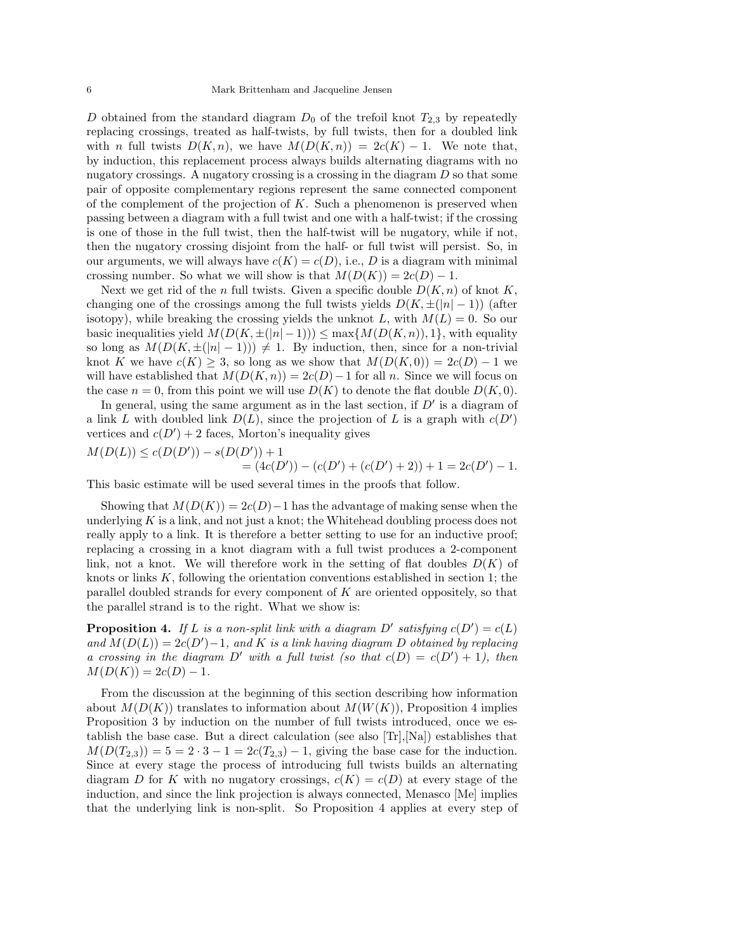D obtained from the standard diagram  $D_0$  of the trefoil knot  $T_{2,3}$  by repeatedly replacing crossings, treated as half-twists, by full twists, then for a doubled link with n full twists  $D(K, n)$ , we have  $M(D(K, n)) = 2c(K) - 1$ . We note that, by induction, this replacement process always builds alternating diagrams with no nugatory crossings. A nugatory crossing is a crossing in the diagram  $D$  so that some pair of opposite complementary regions represent the same connected component of the complement of the projection of  $K$ . Such a phenomenon is preserved when passing between a diagram with a full twist and one with a half-twist; if the crossing is one of those in the full twist, then the half-twist will be nugatory, while if not, then the nugatory crossing disjoint from the half- or full twist will persist. So, in our arguments, we will always have  $c(K) = c(D)$ , i.e., D is a diagram with minimal crossing number. So what we will show is that  $M(D(K)) = 2c(D) - 1$ .

Next we get rid of the n full twists. Given a specific double  $D(K, n)$  of knot K, changing one of the crossings among the full twists yields  $D(K, \pm(|n|-1))$  (after isotopy), while breaking the crossing yields the unknot L, with  $M(L) = 0$ . So our basic inequalities yield  $M(D(K, \pm(|n| - 1))) \leq \max\{M(D(K, n)), 1\}$ , with equality so long as  $M(D(K, \pm(|n|-1))) \neq 1$ . By induction, then, since for a non-trivial knot K we have  $c(K) \geq 3$ , so long as we show that  $M(D(K, 0)) = 2c(D) - 1$  we will have established that  $M(D(K, n)) = 2c(D) - 1$  for all n. Since we will focus on the case  $n = 0$ , from this point we will use  $D(K)$  to denote the flat double  $D(K, 0)$ .

In general, using the same argument as in the last section, if  $D'$  is a diagram of a link L with doubled link  $D(L)$ , since the projection of L is a graph with  $c(D')$  vertices and  $c(D') + 2$  faces. Morton's inequality gives vertices and  $c(D') + 2$  faces, Morton's inequality gives

$$
M(D(L)) \le c(D(D')) - s(D(D')) + 1
$$
  
=  $(4c(D')) - (c(D') + (c(D') + 2)) + 1 = 2c(D') - 1$ .  
This basic estimate will be used several times in the proofs that follow.

Showing that  $M(D(K)) = 2c(D) - 1$  has the advantage of making sense when the underlying  $K$  is a link, and not just a knot; the Whitehead doubling process does not really apply to a link. It is therefore a better setting to use for an inductive proof; replacing a crossing in a knot diagram with a full twist produces a 2-component link, not a knot. We will therefore work in the setting of flat doubles  $D(K)$  of knots or links  $K$ , following the orientation conventions established in section 1; the parallel doubled strands for every component of K are oriented oppositely, so that the parallel strand is to the right. What we show is:

**Proposition 4.** If L is a non-split link with a diagram  $D'$  satisfying  $c(D') = c(L)$ <br>and  $M(D(L)) = 2c(D') - 1$  and K is a link having diagram D obtained by replacing *and*  $M(D(L)) = 2c(D') - 1$ *, and* K *is a link having diagram* D *obtained by replacing*<br>*a crossing in the diagram*  $D'$  with a full twist (so that  $c(D) = c(D') + 1$ ) then *a crossing in the diagram*  $D'$  *with a full twist (so that*  $c(D) = c(D') + 1$ *), then*  $M(D(K)) - 2c(D) - 1$  $M(D(K)) = 2c(D) - 1.$ 

From the discussion at the beginning of this section describing how information about  $M(D(K))$  translates to information about  $M(W(K))$ , Proposition 4 implies Proposition 3 by induction on the number of full twists introduced, once we establish the base case. But a direct calculation (see also  $\text{Tr}$ ,  $\text{N}$ a) establishes that  $M(D(T_{2,3})) = 5 = 2 \cdot 3 - 1 = 2c(T_{2,3}) - 1$ , giving the base case for the induction. Since at every stage the process of introducing full twists builds an alternating diagram D for K with no nugatory crossings,  $c(K) = c(D)$  at every stage of the induction, and since the link projection is always connected, Menasco [Me] implies that the underlying link is non-split. So Proposition 4 applies at every step of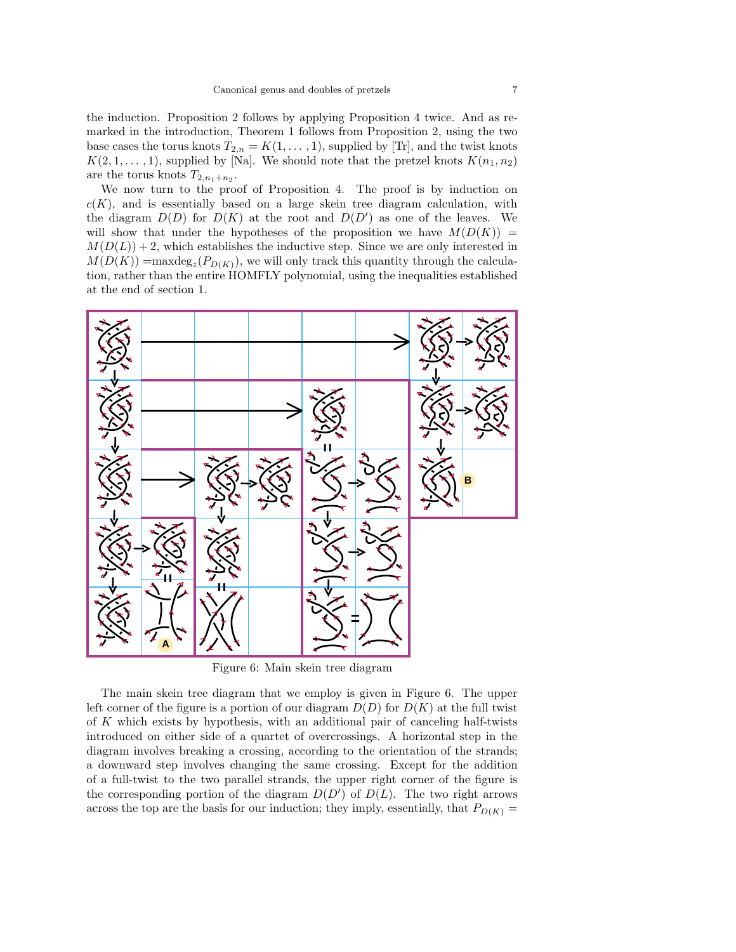the induction. Proposition 2 follows by applying Proposition 4 twice. And as remarked in the introduction, Theorem 1 follows from Proposition 2, using the two base cases the torus knots  $T_{2,n} = K(1,\ldots,1)$ , supplied by [Tr], and the twist knots  $K(2, 1, \ldots, 1)$ , supplied by [Na]. We should note that the pretzel knots  $K(n_1, n_2)$ are the torus knots  $T_{2,n_1+n_2}$ .

We now turn to the proof of Proposition 4. The proof is by induction on  $c(K)$ , and is essentially based on a large skein tree diagram calculation, with the diagram  $D(D)$  for  $D(K)$  at the root and  $D(D')$  as one of the leaves. We<br>will show that under the hypotheses of the proposition we have  $M(D(K))$  – will show that under the hypotheses of the proposition we have  $M(D(K)) =$  $M(D(L)) + 2$ , which establishes the inductive step. Since we are only interested in  $M(D(K)) = \max \deg_z(P_{D(K)})$ , we will only track this quantity through the calculation, rather than the entire HOMFLY polynomial, using the inequalities established at the end of section 1.



Figure 6: Main skein tree diagram

The main skein tree diagram that we employ is given in Figure 6. The upper left corner of the figure is a portion of our diagram  $D(D)$  for  $D(K)$  at the full twist of K which exists by hypothesis, with an additional pair of canceling half-twists introduced on either side of a quartet of overcrossings. A horizontal step in the diagram involves breaking a crossing, according to the orientation of the strands; a downward step involves changing the same crossing. Except for the addition of a full-twist to the two parallel strands, the upper right corner of the figure is the corresponding portion of the diagram  $D(D')$  of  $D(L)$ . The two right arrows across the top are the basis for our induction; they imply essentially that  $P_{\text{DCD}} =$ across the top are the basis for our induction; they imply, essentially, that  $P_{D(K)} =$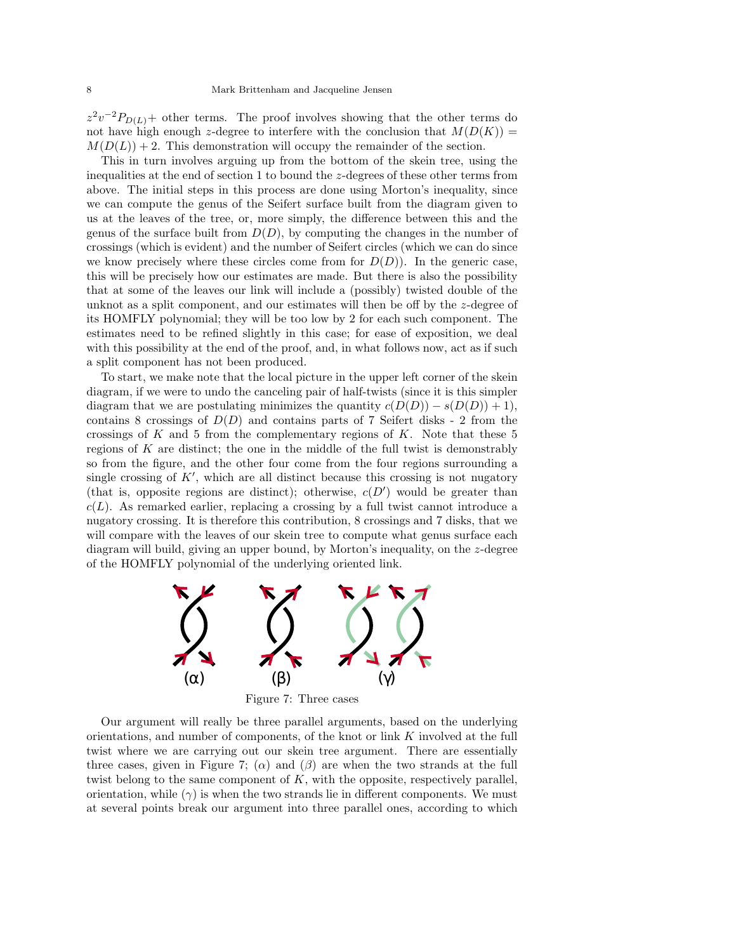$z^2v^{-2}P_{D(L)}$ + other terms. The proof involves showing that the other terms do not have high enough z-degree to interfere with the conclusion that  $M(D(K))$  =  $M(D(L)) + 2$ . This demonstration will occupy the remainder of the section.

This in turn involves arguing up from the bottom of the skein tree, using the inequalities at the end of section 1 to bound the z-degrees of these other terms from above. The initial steps in this process are done using Morton's inequality, since we can compute the genus of the Seifert surface built from the diagram given to us at the leaves of the tree, or, more simply, the difference between this and the genus of the surface built from  $D(D)$ , by computing the changes in the number of crossings (which is evident) and the number of Seifert circles (which we can do since we know precisely where these circles come from for  $D(D)$ ). In the generic case, this will be precisely how our estimates are made. But there is also the possibility that at some of the leaves our link will include a (possibly) twisted double of the unknot as a split component, and our estimates will then be off by the z-degree of its HOMFLY polynomial; they will be too low by 2 for each such component. The estimates need to be refined slightly in this case; for ease of exposition, we deal with this possibility at the end of the proof, and, in what follows now, act as if such a split component has not been produced.

To start, we make note that the local picture in the upper left corner of the skein diagram, if we were to undo the canceling pair of half-twists (since it is this simpler diagram that we are postulating minimizes the quantity  $c(D(D)) - s(D(D)) + 1$ , contains 8 crossings of  $D(D)$  and contains parts of 7 Seifert disks - 2 from the crossings of K and 5 from the complementary regions of K. Note that these 5 regions of  $K$  are distinct; the one in the middle of the full twist is demonstrably so from the figure, and the other four come from the four regions surrounding a single crossing of K', which are all distinct because this crossing is not nugatory<br>(that is apposite regions are distinct); otherwise  $c(D')$  would be greater than (that is, opposite regions are distinct); otherwise,  $c(D')$  would be greater than  $c(L)$  As remarked earlier replacing a crossing by a full twist cannot introduce a  $c(L)$ . As remarked earlier, replacing a crossing by a full twist cannot introduce a nugatory crossing. It is therefore this contribution, 8 crossings and 7 disks, that we will compare with the leaves of our skein tree to compute what genus surface each diagram will build, giving an upper bound, by Morton's inequality, on the z-degree of the HOMFLY polynomial of the underlying oriented link.



Our argument will really be three parallel arguments, based on the underlying orientations, and number of components, of the knot or link K involved at the full twist where we are carrying out our skein tree argument. There are essentially three cases, given in Figure 7; ( $\alpha$ ) and ( $\beta$ ) are when the two strands at the full twist belong to the same component of  $K$ , with the opposite, respectively parallel, orientation, while  $(\gamma)$  is when the two strands lie in different components. We must at several points break our argument into three parallel ones, according to which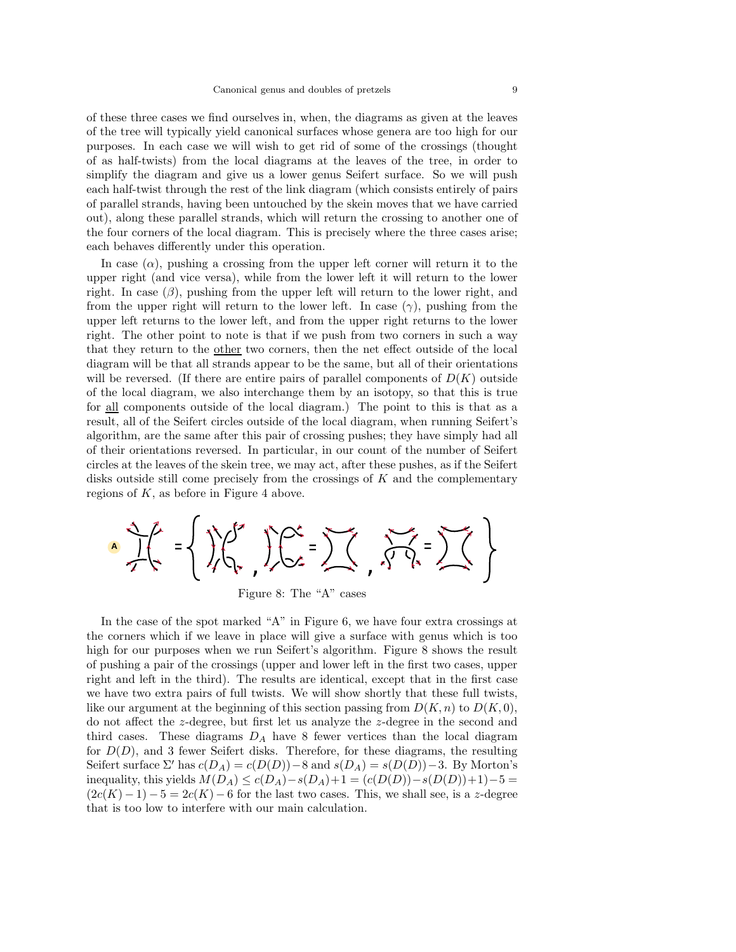of these three cases we find ourselves in, when, the diagrams as given at the leaves of the tree will typically yield canonical surfaces whose genera are too high for our purposes. In each case we will wish to get rid of some of the crossings (thought of as half-twists) from the local diagrams at the leaves of the tree, in order to simplify the diagram and give us a lower genus Seifert surface. So we will push each half-twist through the rest of the link diagram (which consists entirely of pairs of parallel strands, having been untouched by the skein moves that we have carried out), along these parallel strands, which will return the crossing to another one of the four corners of the local diagram. This is precisely where the three cases arise; each behaves differently under this operation.

In case  $(\alpha)$ , pushing a crossing from the upper left corner will return it to the upper right (and vice versa), while from the lower left it will return to the lower right. In case  $(\beta)$ , pushing from the upper left will return to the lower right, and from the upper right will return to the lower left. In case  $(\gamma)$ , pushing from the upper left returns to the lower left, and from the upper right returns to the lower right. The other point to note is that if we push from two corners in such a way that they return to the other two corners, then the net effect outside of the local diagram will be that all strands appear to be the same, but all of their orientations will be reversed. (If there are entire pairs of parallel components of  $D(K)$  outside of the local diagram, we also interchange them by an isotopy, so that this is true for all components outside of the local diagram.) The point to this is that as a result, all of the Seifert circles outside of the local diagram, when running Seifert's algorithm, are the same after this pair of crossing pushes; they have simply had all of their orientations reversed. In particular, in our count of the number of Seifert circles at the leaves of the skein tree, we may act, after these pushes, as if the Seifert disks outside still come precisely from the crossings of  $K$  and the complementary regions of  $K$ , as before in Figure 4 above.

$$
\frac{1}{2} \int_{0}^{2\pi} f(x) \, dx = \left\{ \int_{0}^{2\pi} f(x) \, dx \right\} \int_{0}^{2\pi} f(x) \, dx = \sum_{n=0}^{\infty} \int_{0}^{2\pi} f(x) \, dx = \sum_{n=0}^{\infty} \int_{0}^{2\pi} f(x) \, dx
$$

Figure 8: The "A" cases

In the case of the spot marked "A" in Figure 6, we have four extra crossings at the corners which if we leave in place will give a surface with genus which is too high for our purposes when we run Seifert's algorithm. Figure 8 shows the result of pushing a pair of the crossings (upper and lower left in the first two cases, upper right and left in the third). The results are identical, except that in the first case we have two extra pairs of full twists. We will show shortly that these full twists, like our argument at the beginning of this section passing from  $D(K, n)$  to  $D(K, 0)$ , do not affect the z-degree, but first let us analyze the z-degree in the second and third cases. These diagrams  $D_A$  have 8 fewer vertices than the local diagram for  $D(D)$ , and 3 fewer Seifert disks. Therefore, for these diagrams, the resulting Seifert surface  $\Sigma'$  has  $c(D_A) = c(D(D)) - 8$  and  $s(D_A) = s(D(D)) - 3$ . By Morton's inequality, this yields  $M(D_A) \le c(D_A) - s(D_A) + 1 = (c(D(D)) - s(D(D)) + 1) - 5 =$  $(2c(K) - 1) - 5 = 2c(K) - 6$  for the last two cases. This, we shall see, is a z-degree that is too low to interfere with our main calculation.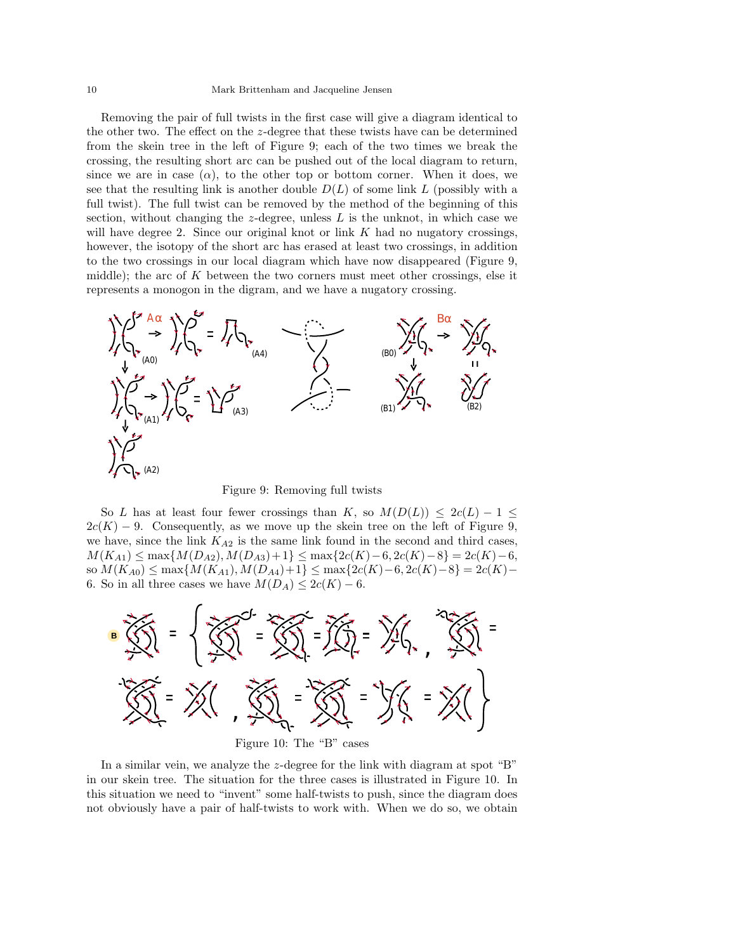#### 10 Mark Brittenham and Jacqueline Jensen

Removing the pair of full twists in the first case will give a diagram identical to the other two. The effect on the z-degree that these twists have can be determined from the skein tree in the left of Figure 9; each of the two times we break the crossing, the resulting short arc can be pushed out of the local diagram to return, since we are in case  $(\alpha)$ , to the other top or bottom corner. When it does, we see that the resulting link is another double  $D(L)$  of some link L (possibly with a full twist). The full twist can be removed by the method of the beginning of this section, without changing the  $z$ -degree, unless  $L$  is the unknot, in which case we will have degree 2. Since our original knot or link  $K$  had no nugatory crossings, however, the isotopy of the short arc has erased at least two crossings, in addition to the two crossings in our local diagram which have now disappeared (Figure 9, middle); the arc of  $K$  between the two corners must meet other crossings, else it represents a monogon in the digram, and we have a nugatory crossing.



Figure 9: Removing full twists

So L has at least four fewer crossings than K, so  $M(D(L)) \leq 2c(L) - 1 \leq$  $2c(K) - 9$ . Consequently, as we move up the skein tree on the left of Figure 9, we have, since the link  $K_{A2}$  is the same link found in the second and third cases,  $M(K_{A1}) \le \max\{M(D_{A2}), M(D_{A3})+1\} \le \max\{2c(K)-6, 2c(K)-8\} = 2c(K)-6,$ so  $M(K_{A0})$  ≤ max ${M(K_{A1}), M(D_{A4})+1}$  ≤ max ${2c(K)-6, 2c(K)-8}$  = 2c(K)− 6. So in all three cases we have  $M(D_A) \leq 2c(K) - 6$ .



Figure 10: The "B" cases

In a similar vein, we analyze the z-degree for the link with diagram at spot "B" in our skein tree. The situation for the three cases is illustrated in Figure 10. In this situation we need to "invent" some half-twists to push, since the diagram does not obviously have a pair of half-twists to work with. When we do so, we obtain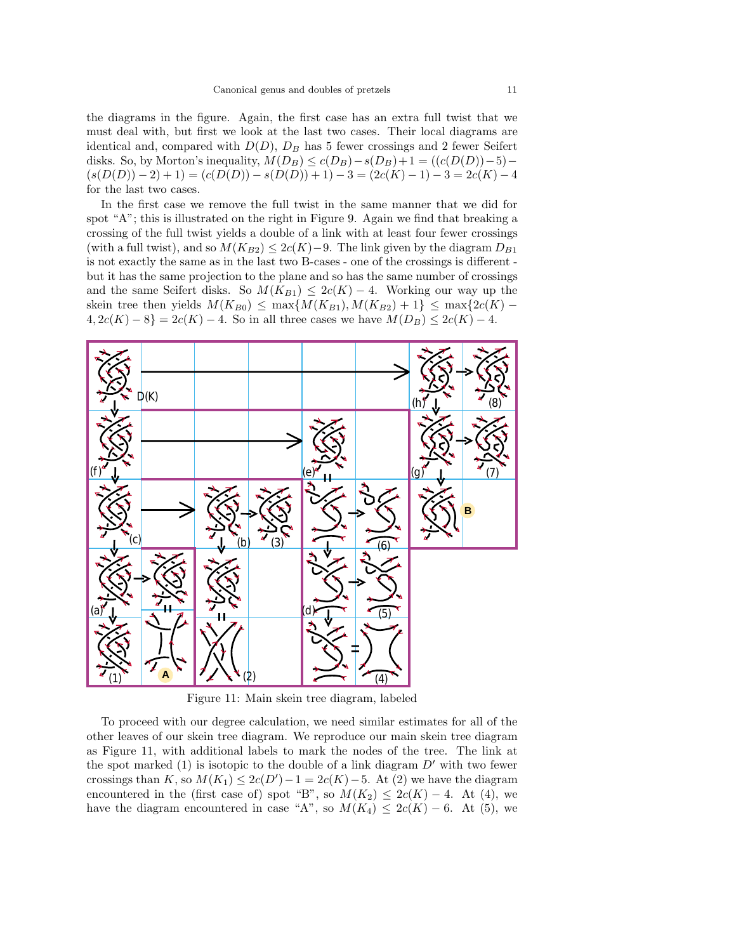the diagrams in the figure. Again, the first case has an extra full twist that we must deal with, but first we look at the last two cases. Their local diagrams are identical and, compared with  $D(D)$ ,  $D_B$  has 5 fewer crossings and 2 fewer Seifert disks. So, by Morton's inequality,  $M(D_B) \le c(D_B) - s(D_B) + 1 = ((c(D(D)) - 5) (s(D(D)) - 2) + 1) = (c(D(D)) - s(D(D)) + 1) - 3 = (2c(K) - 1) - 3 = 2c(K) - 4$ for the last two cases.

In the first case we remove the full twist in the same manner that we did for spot "A"; this is illustrated on the right in Figure 9. Again we find that breaking a crossing of the full twist yields a double of a link with at least four fewer crossings (with a full twist), and so  $M(K_{B2}) \leq 2c(K)-9$ . The link given by the diagram  $D_{B1}$ is not exactly the same as in the last two B-cases - one of the crossings is different but it has the same projection to the plane and so has the same number of crossings and the same Seifert disks. So  $M(K_{B1}) \leq 2c(K) - 4$ . Working our way up the skein tree then yields  $M(K_{B0}) \leq \max\{M(K_{B1}), M(K_{B2})+1\} \leq \max\{2c(K) 4, 2c(K) - 8$ } = 2c(K) − 4. So in all three cases we have  $M(D_B) \le 2c(K) - 4$ .



Figure 11: Main skein tree diagram, labeled

To proceed with our degree calculation, we need similar estimates for all of the other leaves of our skein tree diagram. We reproduce our main skein tree diagram as Figure 11, with additional labels to mark the nodes of the tree. The link at the spot marked  $(1)$  is isotopic to the double of a link diagram  $D'$  with two fewer crossings than K, so  $M(K_1) \leq 2c(D')-1=2c(K)-5$ . At (2) we have the diagram<br>encountered in the (first case of) spot "B", so  $M(K_2) \leq 2c(K)-4$  At (4) we encountered in the (first case of) spot "B", so  $M(K_2) \leq 2c(K) - 4$ . At (4), we have the diagram encountered in case "A", so  $M(K_4) \leq 2c(K) - 6$ . At (5), we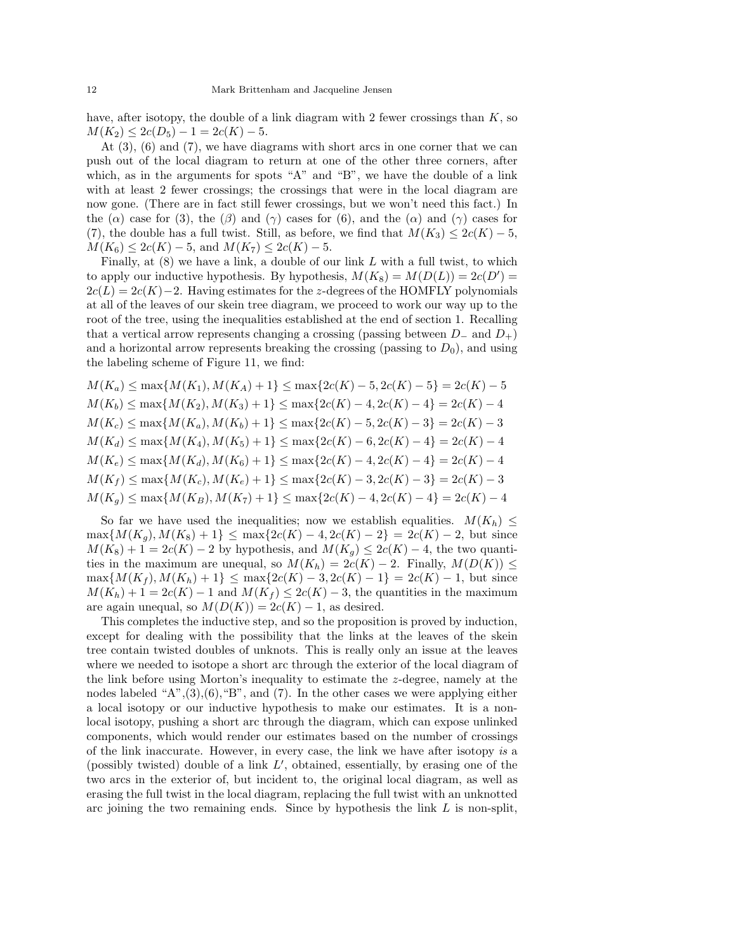have, after isotopy, the double of a link diagram with 2 fewer crossings than  $K$ , so  $M(K_2) \leq 2c(D_5) - 1 = 2c(K) - 5.$ 

At (3), (6) and (7), we have diagrams with short arcs in one corner that we can push out of the local diagram to return at one of the other three corners, after which, as in the arguments for spots "A" and "B", we have the double of a link with at least 2 fewer crossings; the crossings that were in the local diagram are now gone. (There are in fact still fewer crossings, but we won't need this fact.) In the ( $\alpha$ ) case for (3), the ( $\beta$ ) and ( $\gamma$ ) cases for (6), and the ( $\alpha$ ) and ( $\gamma$ ) cases for (7), the double has a full twist. Still, as before, we find that  $M(K_3) \leq 2c(K) - 5$ ,  $M(K_6) \leq 2c(K) - 5$ , and  $M(K_7) \leq 2c(K) - 5$ .

Finally, at  $(8)$  we have a link, a double of our link L with a full twist, to which to apply our inductive hypothesis. By hypothesis,  $M(K_8) = M(D(L)) = 2c(D') = 2c(L) - 2c(K) - 2$ . Having estimates for the z-degrees of the HOMELY polynomials  $2c(L)=2c(K)-2$ . Having estimates for the z-degrees of the HOMFLY polynomials at all of the leaves of our skein tree diagram, we proceed to work our way up to the root of the tree, using the inequalities established at the end of section 1. Recalling that a vertical arrow represents changing a crossing (passing between  $D_-\text{ and }D_+$ ) and a horizontal arrow represents breaking the crossing (passing to  $D_0$ ), and using the labeling scheme of Figure 11, we find:

$$
M(K_a) \le \max\{M(K_1), M(K_A) + 1\} \le \max\{2c(K) - 5, 2c(K) - 5\} = 2c(K) - 5
$$
  
\n
$$
M(K_b) \le \max\{M(K_2), M(K_3) + 1\} \le \max\{2c(K) - 4, 2c(K) - 4\} = 2c(K) - 4
$$
  
\n
$$
M(K_c) \le \max\{M(K_a), M(K_b) + 1\} \le \max\{2c(K) - 5, 2c(K) - 3\} = 2c(K) - 3
$$
  
\n
$$
M(K_d) \le \max\{M(K_4), M(K_5) + 1\} \le \max\{2c(K) - 6, 2c(K) - 4\} = 2c(K) - 4
$$
  
\n
$$
M(K_e) \le \max\{M(K_d), M(K_6) + 1\} \le \max\{2c(K) - 4, 2c(K) - 4\} = 2c(K) - 4
$$
  
\n
$$
M(K_f) \le \max\{M(K_c), M(K_e) + 1\} \le \max\{2c(K) - 3, 2c(K) - 3\} = 2c(K) - 3
$$
  
\n
$$
M(K_g) \le \max\{M(K_B), M(K_7) + 1\} \le \max\{2c(K) - 4, 2c(K) - 4\} = 2c(K) - 4
$$

So far we have used the inequalities; now we establish equalities.  $M(K_h) \leq$  $\max\{M(K_g), M(K_8)+1\} \leq \max\{2c(K)-4, 2c(K)-2\} = 2c(K)-2$ , but since  $M(K_8)+1=2c(K)-2$  by hypothesis, and  $M(K_g)\leq 2c(K)-4$ , the two quantities in the maximum are unequal, so  $M(K_h)=2c(K) - 2$ . Finally,  $M(D(K)) \leq$  $\max\{M(K_f), M(K_h)+1\} \leq \max\{2c(K)-3, 2c(K)-1\} = 2c(K)-1$ , but since  $M(K_h)+1=2c(K)-1$  and  $M(K_f)\leq 2c(K)-3$ , the quantities in the maximum are again unequal, so  $M(D(K)) = 2c(K) - 1$ , as desired.

This completes the inductive step, and so the proposition is proved by induction, except for dealing with the possibility that the links at the leaves of the skein tree contain twisted doubles of unknots. This is really only an issue at the leaves where we needed to isotope a short arc through the exterior of the local diagram of the link before using Morton's inequality to estimate the z-degree, namely at the nodes labeled " $A$ ", $(3)$ , $(6)$ , " $B$ ", and  $(7)$ . In the other cases we were applying either a local isotopy or our inductive hypothesis to make our estimates. It is a nonlocal isotopy, pushing a short arc through the diagram, which can expose unlinked components, which would render our estimates based on the number of crossings of the link inaccurate. However, in every case, the link we have after isotopy *is* a (possibly twisted) double of a link  $L'$ , obtained, essentially, by erasing one of the two arcs in the exterior of but incident to the original local diagram as well as two arcs in the exterior of, but incident to, the original local diagram, as well as erasing the full twist in the local diagram, replacing the full twist with an unknotted arc joining the two remaining ends. Since by hypothesis the link  $L$  is non-split,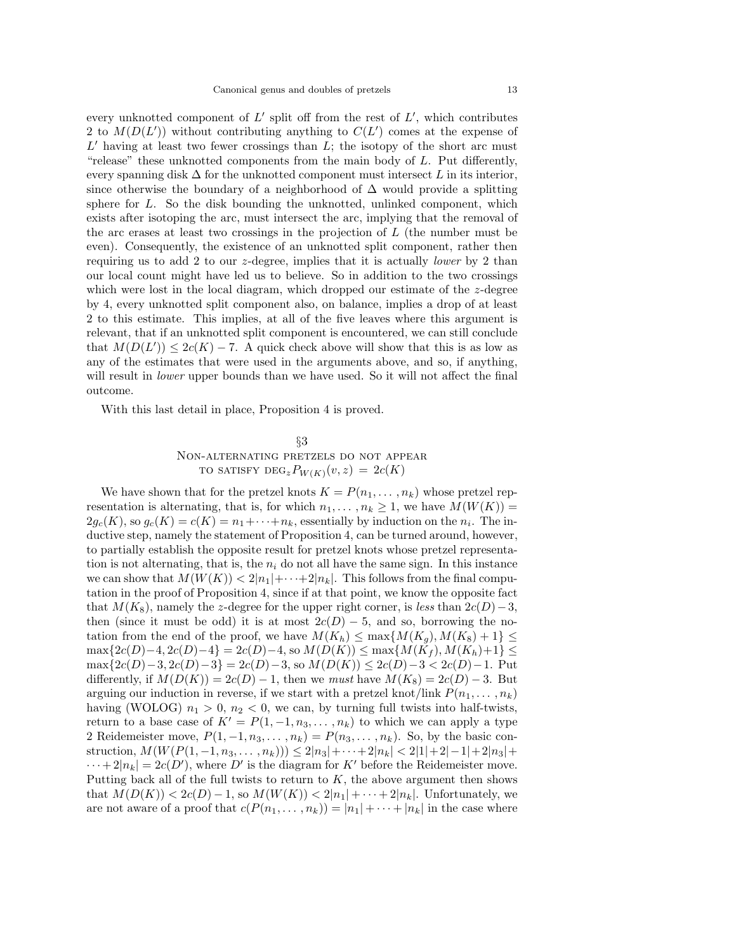every unknotted component of L' split off from the rest of L', which contributes<br>2 to  $M(D(L'))$  without contributing anything to  $C(L')$  comes at the expense of 2 to  $M(D(L'))$  without contributing anything to  $C(L')$  comes at the expense of  $L'$  baying at least two fewer crossings than  $L'$ ; the isotopy of the short arc must  $L'$  having at least two fewer crossings than  $L$ ; the isotopy of the short arc must "release" these unknotted components from the main body of  $L$ . Put differently, every spanning disk  $\Delta$  for the unknotted component must intersect L in its interior, since otherwise the boundary of a neighborhood of  $\Delta$  would provide a splitting sphere for  $L$ . So the disk bounding the unknotted, unlinked component, which exists after isotoping the arc, must intersect the arc, implying that the removal of the arc erases at least two crossings in the projection of  $L$  (the number must be even). Consequently, the existence of an unknotted split component, rather then requiring us to add 2 to our z-degree, implies that it is actually *lower* by 2 than our local count might have led us to believe. So in addition to the two crossings which were lost in the local diagram, which dropped our estimate of the  $z$ -degree by 4, every unknotted split component also, on balance, implies a drop of at least 2 to this estimate. This implies, at all of the five leaves where this argument is relevant, that if an unknotted split component is encountered, we can still conclude that  $M(D(L')) \leq 2c(K) - 7$ . A quick check above will show that this is as low as any of the estimates that were used in the arguments above and so if anything any of the estimates that were used in the arguments above, and so, if anything, will result in *lower* upper bounds than we have used. So it will not affect the final outcome.

With this last detail in place, Proposition 4 is proved.

# §3 Non-alternating pretzels do not appear TO SATISFY  $\text{DEG}_z P_{W(K)}(v, z)=2c(K)$

We have shown that for the pretzel knots  $K = P(n_1, \ldots, n_k)$  whose pretzel representation is alternating, that is, for which  $n_1, \ldots, n_k \geq 1$ , we have  $M(W(K)) =$  $2g_c(K)$ , so  $g_c(K) = c(K) = n_1 + \cdots + n_k$ , essentially by induction on the  $n_i$ . The inductive step, namely the statement of Proposition 4, can be turned around, however, to partially establish the opposite result for pretzel knots whose pretzel representation is not alternating, that is, the  $n_i$  do not all have the same sign. In this instance we can show that  $M(W(K)) < 2|n_1| + \cdots + 2|n_k|$ . This follows from the final computation in the proof of Proposition 4, since if at that point, we know the opposite fact that  $M(K_8)$ , namely the z-degree for the upper right corner, is *less* than  $2c(D)-3$ , then (since it must be odd) it is at most  $2c(D) - 5$ , and so, borrowing the notation from the end of the proof, we have  $M(K_h) \leq \max\{M(K_g), M(K_8)+1\} \leq$  $\max\{2c(D)-4, 2c(D)-4\} = 2c(D)-4$ , so  $M(D(K)) \leq \max\{M(K_f), M(K_h)+1\}$  $\max\{2c(D)-3, 2c(D)-3\} = 2c(D)-3$ , so  $M(D(K)) \leq 2c(D)-3 < 2c(D)-1$ . Put differently, if  $M(D(K)) = 2c(D) - 1$ , then we *must* have  $M(K_8) = 2c(D) - 3$ . But arguing our induction in reverse, if we start with a pretzel knot/link  $P(n_1, \ldots, n_k)$ having (WOLOG)  $n_1 > 0$ ,  $n_2 < 0$ , we can, by turning full twists into half-twists, return to a base case of  $K' = P(1, -1, n_3, \ldots, n_k)$  to which we can apply a type 2 Reidemeister move,  $P(1, -1, n_3, \ldots, n_k) = P(n_3, \ldots, n_k)$ . So, by the basic construction,  $M(W(P(1, -1, n_3, ..., n_k))) \leq 2|n_3| + \cdots + 2|n_k| < 2|1| + 2|-1|+ 2|n_3| +$  $\cdots+2|n_k|=2c(D')$ , where D' is the diagram for K' before the Reidemeister move.<br>Putting back all of the full twists to return to K, the above argument then shows Putting back all of the full twists to return to  $K$ , the above argument then shows that  $M(D(K)) < 2c(D) - 1$ , so  $M(W(K)) < 2|n_1| + \cdots + 2|n_k|$ . Unfortunately, we are not aware of a proof that  $c(P(n_1,\ldots,n_k)) = |n_1| + \cdots + |n_k|$  in the case where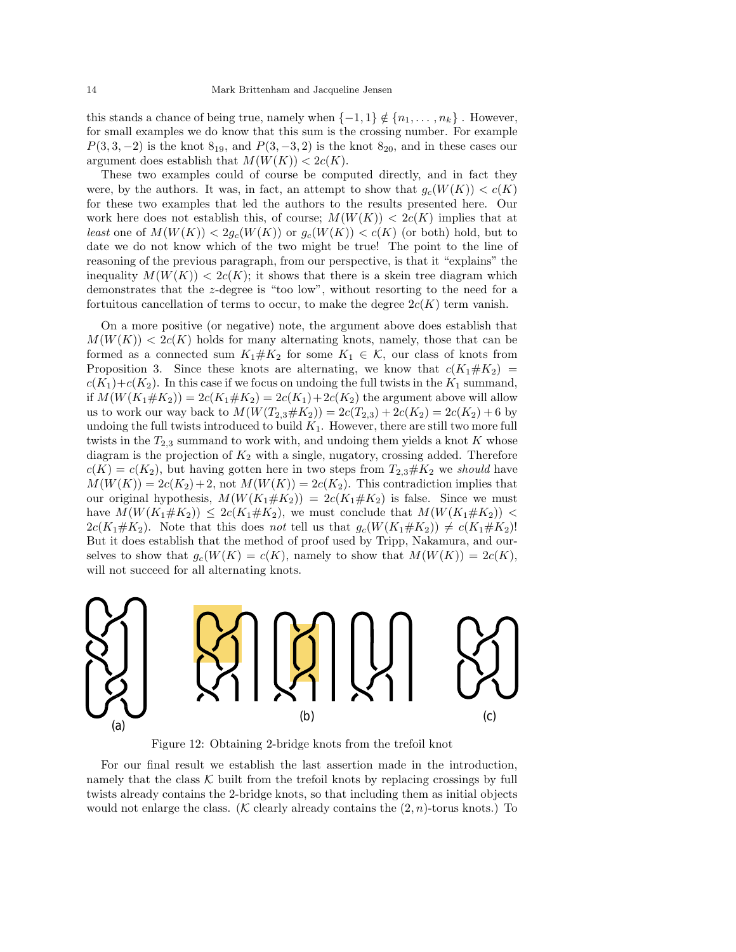this stands a chance of being true, namely when  $\{-1,1\} \notin \{n_1,\ldots,n_k\}$ . However, for small examples we do know that this sum is the crossing number. For example  $P(3, 3, -2)$  is the knot  $8_{19}$ , and  $P(3, -3, 2)$  is the knot  $8_{20}$ , and in these cases our argument does establish that  $M(W(K)) < 2c(K)$ .

These two examples could of course be computed directly, and in fact they were, by the authors. It was, in fact, an attempt to show that  $g_c(W(K)) < c(K)$ for these two examples that led the authors to the results presented here. Our work here does not establish this, of course;  $M(W(K)) < 2c(K)$  implies that at *least* one of  $M(W(K)) < 2g_c(W(K))$  or  $g_c(W(K)) < c(K)$  (or both) hold, but to date we do not know which of the two might be true! The point to the line of reasoning of the previous paragraph, from our perspective, is that it "explains" the inequality  $M(W(K)) < 2c(K)$ ; it shows that there is a skein tree diagram which demonstrates that the z-degree is "too low", without resorting to the need for a fortuitous cancellation of terms to occur, to make the degree  $2c(K)$  term vanish.

On a more positive (or negative) note, the argument above does establish that  $M(W(K)) < 2c(K)$  holds for many alternating knots, namely, those that can be formed as a connected sum  $K_1 \# K_2$  for some  $K_1 \in \mathcal{K}$ , our class of knots from Proposition 3. Since these knots are alternating, we know that  $c(K_1 \# K_2)$  =  $c(K_1)+c(K_2)$ . In this case if we focus on undoing the full twists in the  $K_1$  summand, if  $M(W(K_1 \# K_2)) = 2c(K_1 \# K_2) = 2c(K_1) + 2c(K_2)$  the argument above will allow us to work our way back to  $M(W(T_{2,3} \# K_2)) = 2c(T_{2,3}) + 2c(K_2) = 2c(K_2) + 6$  by undoing the full twists introduced to build  $K_1$ . However, there are still two more full twists in the  $T_{2,3}$  summand to work with, and undoing them yields a knot K whose diagram is the projection of  $K_2$  with a single, nugatory, crossing added. Therefore  $c(K) = c(K_2)$ , but having gotten here in two steps from  $T_{2,3} \# K_2$  we *should* have  $M(W(K)) = 2c(K_2)+2$ , not  $M(W(K)) = 2c(K_2)$ . This contradiction implies that our original hypothesis,  $M(W(K_1 \# K_2)) = 2c(K_1 \# K_2)$  is false. Since we must have  $M(W(K_1 \# K_2)) \leq 2c(K_1 \# K_2)$ , we must conclude that  $M(W(K_1 \# K_2))$  <  $2c(K_1 \# K_2)$ . Note that this does *not* tell us that  $g_c(W(K_1 \# K_2)) \neq c(K_1 \# K_2)!$ But it does establish that the method of proof used by Tripp, Nakamura, and ourselves to show that  $g_c(W(K) = c(K)$ , namely to show that  $M(W(K)) = 2c(K)$ , will not succeed for all alternating knots.



Figure 12: Obtaining 2-bridge knots from the trefoil knot

For our final result we establish the last assertion made in the introduction, namely that the class  $\mathcal K$  built from the trefoil knots by replacing crossings by full twists already contains the 2-bridge knots, so that including them as initial objects would not enlarge the class. (K clearly already contains the  $(2, n)$ -torus knots.) To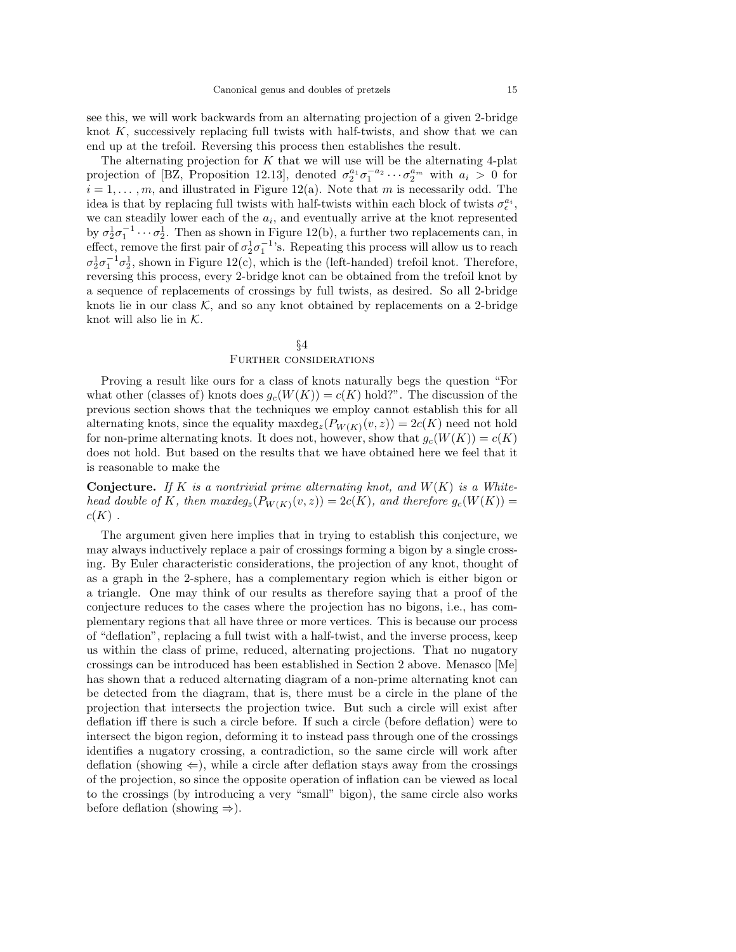see this, we will work backwards from an alternating projection of a given 2-bridge knot  $K$ , successively replacing full twists with half-twists, and show that we can end up at the trefoil. Reversing this process then establishes the result.

The alternating projection for  $K$  that we will use will be the alternating 4-plat projection of [BZ, Proposition 12.13], denoted  $\sigma_2^{a_1} \sigma_1^{-a_2} \cdots \sigma_2^{a_m}$  with  $a_i > 0$  for  $i-1$  and illustrated in Figure 12(a). Note that m is necessarily odd. The  $i = 1, \ldots, m$ , and illustrated in Figure 12(a). Note that m is necessarily odd. The idea is that by replacing full twists with half-twists within each block of twists  $\sigma_{\epsilon}^{a_i}$ ,<br>we can steadily lower each of the q<sub>r</sub>, and eventually arrive at the knot represented we can steadily lower each of the  $a_i$ , and eventually arrive at the knot represented by  $\sigma_2^1 \sigma_1^{-1} \cdots \sigma_2^1$ . Then as shown in Figure 12(b), a further two replacements can, in offset represented to the first pair of  $\sigma_1^1 \sigma_1^{-1}$ . Because this process will allow us to reach effect, remove the first pair of  $\sigma_2^1 \sigma_1^{-1}$ 's. Repeating this process will allow us to reach  $\sigma_1^1 \sigma_1^{-1} \sigma_1^1$  shown in Figure 12(a), which is the (left handed) trefoil knot. Therefore  $\sigma_2^1 \sigma_1^{-1} \sigma_2^1$ , shown in Figure 12(c), which is the (left-handed) trefoil knot. Therefore, reversing this process every 2-bridge knot can be obtained from the trefoil knot by reversing this process, every 2-bridge knot can be obtained from the trefoil knot by a sequence of replacements of crossings by full twists, as desired. So all 2-bridge knots lie in our class  $K$ , and so any knot obtained by replacements on a 2-bridge knot will also lie in  $K$ .

# §4 Further considerations

Proving a result like ours for a class of knots naturally begs the question "For what other (classes of) knots does  $g_c(W(K)) = c(K)$  hold?". The discussion of the previous section shows that the techniques we employ cannot establish this for all alternating knots, since the equality  $\max deg_z(P_{W(K)}(v, z)) = 2c(K)$  need not hold for non-prime alternating knots. It does not, however, show that  $g_c(W(K)) = c(K)$ does not hold. But based on the results that we have obtained here we feel that it is reasonable to make the

**Conjecture.** If K is a nontrivial prime alternating knot, and  $W(K)$  is a White*head double of* K, then  $maxdeg_z(P_{W(K)}(v, z)) = 2c(K)$ , and therefore  $g_c(W(K))$  $c(K)$ .

The argument given here implies that in trying to establish this conjecture, we may always inductively replace a pair of crossings forming a bigon by a single crossing. By Euler characteristic considerations, the projection of any knot, thought of as a graph in the 2-sphere, has a complementary region which is either bigon or a triangle. One may think of our results as therefore saying that a proof of the conjecture reduces to the cases where the projection has no bigons, i.e., has complementary regions that all have three or more vertices. This is because our process of "deflation", replacing a full twist with a half-twist, and the inverse process, keep us within the class of prime, reduced, alternating projections. That no nugatory crossings can be introduced has been established in Section 2 above. Menasco [Me] has shown that a reduced alternating diagram of a non-prime alternating knot can be detected from the diagram, that is, there must be a circle in the plane of the projection that intersects the projection twice. But such a circle will exist after deflation iff there is such a circle before. If such a circle (before deflation) were to intersect the bigon region, deforming it to instead pass through one of the crossings identifies a nugatory crossing, a contradiction, so the same circle will work after deflation (showing  $\Leftarrow$ ), while a circle after deflation stays away from the crossings of the projection, so since the opposite operation of inflation can be viewed as local to the crossings (by introducing a very "small" bigon), the same circle also works before deflation (showing  $\Rightarrow$ ).